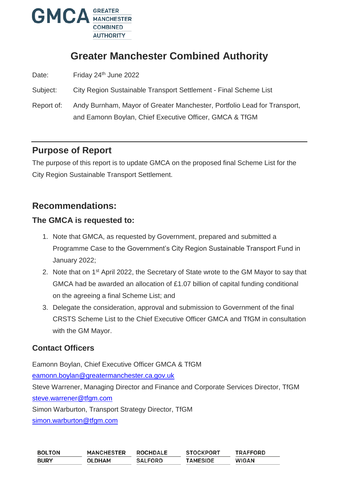

# **Greater Manchester Combined Authority**

Date: Friday 24<sup>th</sup> June 2022

Subject: City Region Sustainable Transport Settlement - Final Scheme List

Report of: Andy Burnham, Mayor of Greater Manchester, Portfolio Lead for Transport, and Eamonn Boylan, Chief Executive Officer, GMCA & TfGM

## **Purpose of Report**

The purpose of this report is to update GMCA on the proposed final Scheme List for the City Region Sustainable Transport Settlement.

## **Recommendations:**

#### **The GMCA is requested to:**

- 1. Note that GMCA, as requested by Government, prepared and submitted a Programme Case to the Government's City Region Sustainable Transport Fund in January 2022;
- 2. Note that on 1<sup>st</sup> April 2022, the Secretary of State wrote to the GM Mayor to say that GMCA had be awarded an allocation of £1.07 billion of capital funding conditional on the agreeing a final Scheme List; and
- 3. Delegate the consideration, approval and submission to Government of the final CRSTS Scheme List to the Chief Executive Officer GMCA and TfGM in consultation with the GM Mayor.

## **Contact Officers**

Eamonn Boylan, Chief Executive Officer GMCA & TfGM

[eamonn.boylan@greatermanchester.ca.gov.uk](mailto:eamonn.boylan@greatermanchester.ca.gov.uk)

Steve Warrener, Managing Director and Finance and Corporate Services Director, TfGM [steve.warrener@tfgm.com](mailto:steve.warrener@tfgm.com)

Simon Warburton, Transport Strategy Director, TfGM

[simon.warburton@tfgm.com](mailto:simon.warburton@tfgm.com)

| <b>BOLTON</b> | <b>MANCHESTER</b> | <b>ROCHDALE</b> | <b>STOCKPORT</b> | <b>TRAFFORD</b> |
|---------------|-------------------|-----------------|------------------|-----------------|
| <b>BURY</b>   | <b>OLDHAM</b>     | <b>SALFORD</b>  | <b>TAMESIDE</b>  | <b>WIGAN</b>    |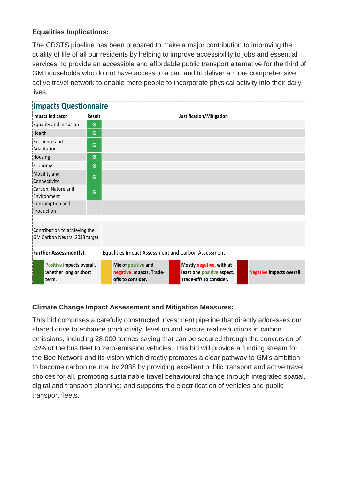#### **Equalities Implications:**

The CRSTS pipeline has been prepared to make a major contribution to improving the quality of life of all our residents by helping to improve accessibility to jobs and essential services; to provide an accessible and affordable public transport alternative for the third of GM households who do not have access to a car; and to deliver a more comprehensive active travel network to enable more people to incorporate physical activity into their daily lives.

| <b>Impacts Questionnaire</b>                                   |               |                                                                      |                                                                                   |                                  |  |  |  |
|----------------------------------------------------------------|---------------|----------------------------------------------------------------------|-----------------------------------------------------------------------------------|----------------------------------|--|--|--|
| <b>Impact Indicator</b>                                        | <b>Result</b> | Justification/Mitigation                                             |                                                                                   |                                  |  |  |  |
| Equality and Inclusion                                         | G             |                                                                      |                                                                                   |                                  |  |  |  |
| <b>Health</b>                                                  | G             |                                                                      |                                                                                   |                                  |  |  |  |
| Resilience and<br>Adaptation                                   | G             |                                                                      |                                                                                   |                                  |  |  |  |
| Housing                                                        | G             |                                                                      |                                                                                   |                                  |  |  |  |
| Economy                                                        | G             |                                                                      |                                                                                   |                                  |  |  |  |
| Mobility and<br>Connectivity                                   | G             |                                                                      |                                                                                   |                                  |  |  |  |
| Carbon, Nature and<br>Environment                              | G             |                                                                      |                                                                                   |                                  |  |  |  |
| Consumption and<br>Production                                  |               |                                                                      |                                                                                   |                                  |  |  |  |
| Contribution to achieving the<br>GM Carbon Neutral 2038 target |               |                                                                      |                                                                                   |                                  |  |  |  |
| <b>Further Assessment(s):</b>                                  |               | <b>Equalities Impact Assessment and Carbon Assessment</b>            |                                                                                   |                                  |  |  |  |
| Positive impacts overall,<br>whether long or short<br>term.    |               | Mix of positive and<br>negative impacts. Trade-<br>offs to consider. | Mostly negative, with at<br>least one positive aspect.<br>Trade-offs to consider. | <b>Negative impacts overall.</b> |  |  |  |

#### **Climate Change Impact Assessment and Mitigation Measures:**

This bid comprises a carefully constructed investment pipeline that directly addresses our shared drive to enhance productivity, level up and secure real reductions in carbon emissions, including 28,000 tonnes saving that can be secured through the conversion of 33% of the bus fleet to zero-emission vehicles. This bid will provide a funding stream for the Bee Network and its vision which directly promotes a clear pathway to GM's ambition to become carbon neutral by 2038 by providing excellent public transport and active travel choices for all, promoting sustainable travel behavioural change through integrated spatial, digital and transport planning; and supports the electrification of vehicles and public transport fleets.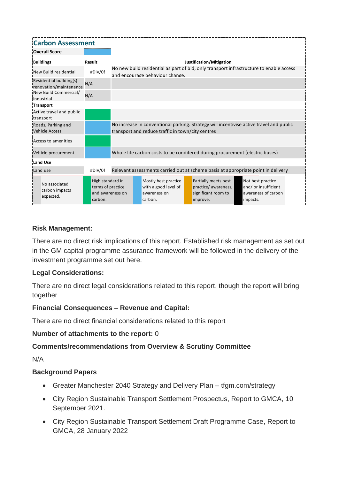| <b>Carbon Assessment</b>                          |                                                                      |                                                                                                                                              |                                                                         |                                                                                   |                                                                             |
|---------------------------------------------------|----------------------------------------------------------------------|----------------------------------------------------------------------------------------------------------------------------------------------|-------------------------------------------------------------------------|-----------------------------------------------------------------------------------|-----------------------------------------------------------------------------|
| <b>Overall Score</b>                              |                                                                      |                                                                                                                                              |                                                                         |                                                                                   |                                                                             |
| <b>Buildings</b>                                  | Result                                                               |                                                                                                                                              |                                                                         | Justification/Mitigation                                                          |                                                                             |
| New Build residential                             | #DIV/0!                                                              | No new build residential as part of bid, only transport infrastructure to enable access<br>and encourage behaviour change.                   |                                                                         |                                                                                   |                                                                             |
| Residential building(s)<br>renovation/maintenance | N/A                                                                  |                                                                                                                                              |                                                                         |                                                                                   |                                                                             |
| New Build Commercial/<br>Industrial               | N/A                                                                  |                                                                                                                                              |                                                                         |                                                                                   |                                                                             |
| <b>Transport</b>                                  |                                                                      |                                                                                                                                              |                                                                         |                                                                                   |                                                                             |
| Active travel and public<br>transport             |                                                                      |                                                                                                                                              |                                                                         |                                                                                   |                                                                             |
| Roads, Parking and<br><b>Vehicle Access</b>       |                                                                      | No increase in conventional parking. Strategy will incentivise active travel and public<br>transport and reduce traffic in town/city centres |                                                                         |                                                                                   |                                                                             |
| Access to amenities                               |                                                                      |                                                                                                                                              |                                                                         |                                                                                   |                                                                             |
| Vehicle procurement                               |                                                                      | Whole life carbon costs to be condifered during procurement (electric buses)                                                                 |                                                                         |                                                                                   |                                                                             |
| <b>Land Use</b>                                   |                                                                      |                                                                                                                                              |                                                                         |                                                                                   |                                                                             |
| Land use                                          | #DIV/0!                                                              |                                                                                                                                              |                                                                         | Relevant assessments carried out at scheme basis at appropriate point in delivery |                                                                             |
| No associated<br>carbon impacts<br>expected.      | High standard in<br>terms of practice<br>and awareness on<br>carbon. |                                                                                                                                              | Mostly best practice<br>with a good level of<br>awareness on<br>carbon. | Partially meets best<br>practice/ awareness,<br>significant room to<br>improve.   | Not best practice<br>and/or insufficient<br>awareness of carbon<br>impacts. |

#### **Risk Management:**

There are no direct risk implications of this report. Established risk management as set out in the GM capital programme assurance framework will be followed in the delivery of the investment programme set out here.

#### **Legal Considerations:**

There are no direct legal considerations related to this report, though the report will bring together

#### **Financial Consequences – Revenue and Capital:**

There are no direct financial considerations related to this report

#### **Number of attachments to the report:** 0

#### **Comments/recommendations from Overview & Scrutiny Committee**

N/A

#### **Background Papers**

- Greater Manchester 2040 Strategy and Delivery Plan tfgm.com/strategy
- City Region Sustainable Transport Settlement Prospectus, Report to GMCA, 10 September 2021.
- City Region Sustainable Transport Settlement Draft Programme Case, Report to GMCA, 28 January 2022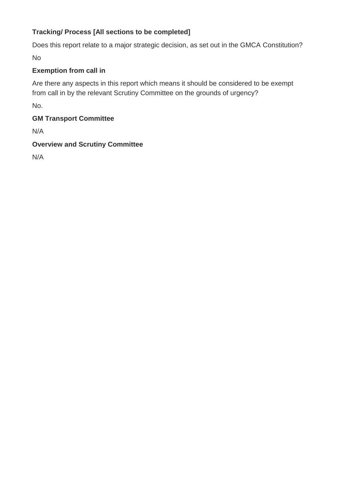### **Tracking/ Process [All sections to be completed]**

Does this report relate to a major strategic decision, as set out in the GMCA Constitution? No

#### **Exemption from call in**

Are there any aspects in this report which means it should be considered to be exempt from call in by the relevant Scrutiny Committee on the grounds of urgency?

No.

### **GM Transport Committee**

N/A

#### **Overview and Scrutiny Committee**

N/A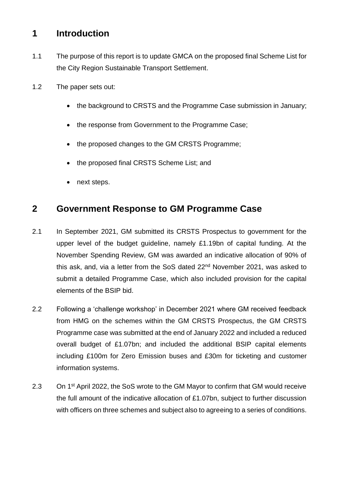## **1 Introduction**

- 1.1 The purpose of this report is to update GMCA on the proposed final Scheme List for the City Region Sustainable Transport Settlement.
- 1.2 The paper sets out:
	- the background to CRSTS and the Programme Case submission in January;
	- the response from Government to the Programme Case;
	- the proposed changes to the GM CRSTS Programme;
	- the proposed final CRSTS Scheme List; and
	- next steps.

## **2 Government Response to GM Programme Case**

- 2.1 In September 2021, GM submitted its CRSTS Prospectus to government for the upper level of the budget guideline, namely £1.19bn of capital funding. At the November Spending Review, GM was awarded an indicative allocation of 90% of this ask, and, via a letter from the SoS dated 22<sup>nd</sup> November 2021, was asked to submit a detailed Programme Case, which also included provision for the capital elements of the BSIP bid.
- 2.2 Following a 'challenge workshop' in December 2021 where GM received feedback from HMG on the schemes within the GM CRSTS Prospectus, the GM CRSTS Programme case was submitted at the end of January 2022 and included a reduced overall budget of £1.07bn; and included the additional BSIP capital elements including £100m for Zero Emission buses and £30m for ticketing and customer information systems.
- 2.3 On 1<sup>st</sup> April 2022, the SoS wrote to the GM Mayor to confirm that GM would receive the full amount of the indicative allocation of £1.07bn, subject to further discussion with officers on three schemes and subject also to agreeing to a series of conditions.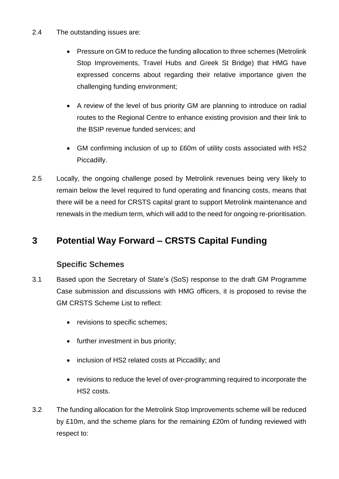- 2.4 The outstanding issues are:
	- Pressure on GM to reduce the funding allocation to three schemes (Metrolink Stop Improvements, Travel Hubs and Greek St Bridge) that HMG have expressed concerns about regarding their relative importance given the challenging funding environment;
	- A review of the level of bus priority GM are planning to introduce on radial routes to the Regional Centre to enhance existing provision and their link to the BSIP revenue funded services; and
	- GM confirming inclusion of up to £60m of utility costs associated with HS2 Piccadilly.
- 2.5 Locally, the ongoing challenge posed by Metrolink revenues being very likely to remain below the level required to fund operating and financing costs, means that there will be a need for CRSTS capital grant to support Metrolink maintenance and renewals in the medium term, which will add to the need for ongoing re-prioritisation.

## **3 Potential Way Forward – CRSTS Capital Funding**

## **Specific Schemes**

- 3.1 Based upon the Secretary of State's (SoS) response to the draft GM Programme Case submission and discussions with HMG officers, it is proposed to revise the GM CRSTS Scheme List to reflect:
	- revisions to specific schemes;
	- further investment in bus priority;
	- inclusion of HS2 related costs at Piccadilly; and
	- revisions to reduce the level of over-programming required to incorporate the HS2 costs.
- 3.2 The funding allocation for the Metrolink Stop Improvements scheme will be reduced by £10m, and the scheme plans for the remaining £20m of funding reviewed with respect to: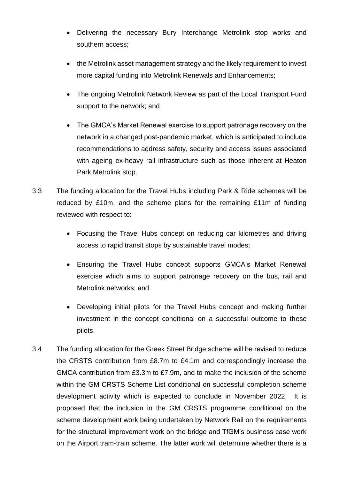- Delivering the necessary Bury Interchange Metrolink stop works and southern access;
- the Metrolink asset management strategy and the likely requirement to invest more capital funding into Metrolink Renewals and Enhancements;
- The ongoing Metrolink Network Review as part of the Local Transport Fund support to the network; and
- The GMCA's Market Renewal exercise to support patronage recovery on the network in a changed post-pandemic market, which is anticipated to include recommendations to address safety, security and access issues associated with ageing ex-heavy rail infrastructure such as those inherent at Heaton Park Metrolink stop.
- 3.3 The funding allocation for the Travel Hubs including Park & Ride schemes will be reduced by £10m, and the scheme plans for the remaining £11m of funding reviewed with respect to:
	- Focusing the Travel Hubs concept on reducing car kilometres and driving access to rapid transit stops by sustainable travel modes;
	- Ensuring the Travel Hubs concept supports GMCA's Market Renewal exercise which aims to support patronage recovery on the bus, rail and Metrolink networks; and
	- Developing initial pilots for the Travel Hubs concept and making further investment in the concept conditional on a successful outcome to these pilots.
- 3.4 The funding allocation for the Greek Street Bridge scheme will be revised to reduce the CRSTS contribution from £8.7m to £4.1m and correspondingly increase the GMCA contribution from £3.3m to £7.9m, and to make the inclusion of the scheme within the GM CRSTS Scheme List conditional on successful completion scheme development activity which is expected to conclude in November 2022. It is proposed that the inclusion in the GM CRSTS programme conditional on the scheme development work being undertaken by Network Rail on the requirements for the structural improvement work on the bridge and TfGM's business case work on the Airport tram-train scheme. The latter work will determine whether there is a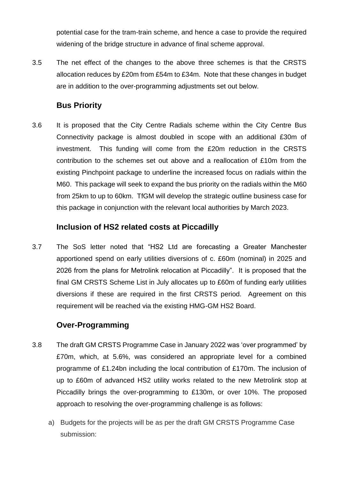potential case for the tram-train scheme, and hence a case to provide the required widening of the bridge structure in advance of final scheme approval.

3.5 The net effect of the changes to the above three schemes is that the CRSTS allocation reduces by £20m from £54m to £34m. Note that these changes in budget are in addition to the over-programming adjustments set out below.

### **Bus Priority**

3.6 It is proposed that the City Centre Radials scheme within the City Centre Bus Connectivity package is almost doubled in scope with an additional £30m of investment. This funding will come from the £20m reduction in the CRSTS contribution to the schemes set out above and a reallocation of £10m from the existing Pinchpoint package to underline the increased focus on radials within the M60. This package will seek to expand the bus priority on the radials within the M60 from 25km to up to 60km. TfGM will develop the strategic outline business case for this package in conjunction with the relevant local authorities by March 2023.

#### **Inclusion of HS2 related costs at Piccadilly**

3.7 The SoS letter noted that "HS2 Ltd are forecasting a Greater Manchester apportioned spend on early utilities diversions of c. £60m (nominal) in 2025 and 2026 from the plans for Metrolink relocation at Piccadilly". It is proposed that the final GM CRSTS Scheme List in July allocates up to £60m of funding early utilities diversions if these are required in the first CRSTS period. Agreement on this requirement will be reached via the existing HMG-GM HS2 Board.

## **Over-Programming**

- 3.8 The draft GM CRSTS Programme Case in January 2022 was 'over programmed' by £70m, which, at 5.6%, was considered an appropriate level for a combined programme of £1.24bn including the local contribution of £170m. The inclusion of up to £60m of advanced HS2 utility works related to the new Metrolink stop at Piccadilly brings the over-programming to £130m, or over 10%. The proposed approach to resolving the over-programming challenge is as follows:
	- a) Budgets for the projects will be as per the draft GM CRSTS Programme Case submission: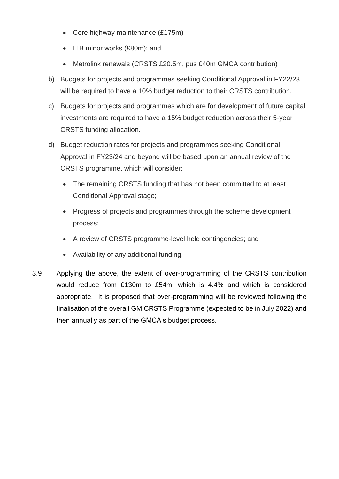- Core highway maintenance (£175m)
- ITB minor works (£80m); and
- Metrolink renewals (CRSTS £20.5m, pus £40m GMCA contribution)
- b) Budgets for projects and programmes seeking Conditional Approval in FY22/23 will be required to have a 10% budget reduction to their CRSTS contribution.
- c) Budgets for projects and programmes which are for development of future capital investments are required to have a 15% budget reduction across their 5-year CRSTS funding allocation.
- d) Budget reduction rates for projects and programmes seeking Conditional Approval in FY23/24 and beyond will be based upon an annual review of the CRSTS programme, which will consider:
	- The remaining CRSTS funding that has not been committed to at least Conditional Approval stage;
	- Progress of projects and programmes through the scheme development process;
	- A review of CRSTS programme-level held contingencies; and
	- Availability of any additional funding.
- 3.9 Applying the above, the extent of over-programming of the CRSTS contribution would reduce from £130m to £54m, which is 4.4% and which is considered appropriate. It is proposed that over-programming will be reviewed following the finalisation of the overall GM CRSTS Programme (expected to be in July 2022) and then annually as part of the GMCA's budget process.